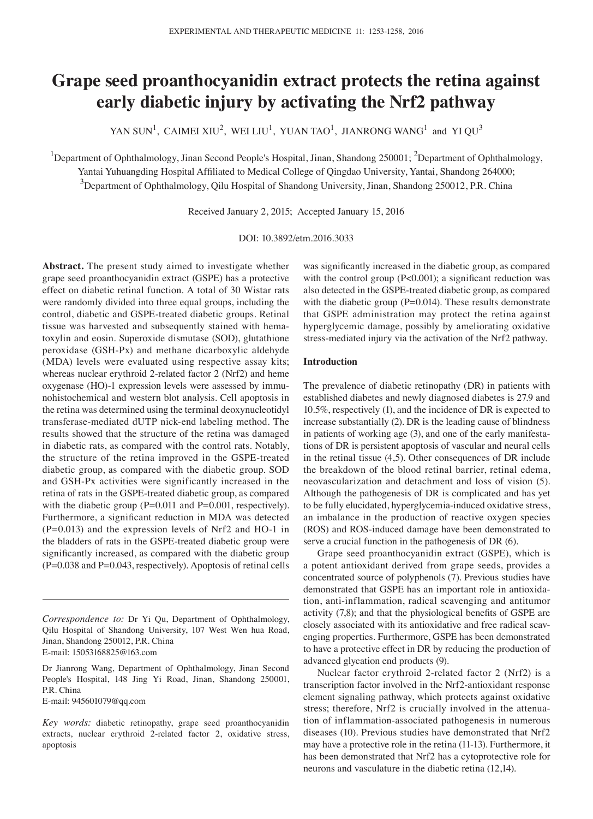# **Grape seed proanthocyanidin extract protects the retina against early diabetic injury by activating the Nrf2 pathway**

YAN SUN<sup>1</sup>, CAIMEI XIU<sup>2</sup>, WEI LIU<sup>1</sup>, YUAN TAO<sup>1</sup>, JIANRONG WANG<sup>1</sup> and YI QU<sup>3</sup>

<sup>1</sup>Department of Ophthalmology, Jinan Second People's Hospital, Jinan, Shandong 250001; <sup>2</sup>Department of Ophthalmology, Yantai Yuhuangding Hospital Affiliated to Medical College of Qingdao University, Yantai, Shandong 264000;  $^3$ Department of Ophthalmology, Qilu Hospital of Shandong University, Jinan, Shandong 250012, P.R. China

Received January 2, 2015; Accepted January 15, 2016

DOI: 10.3892/etm.2016.3033

**Abstract.** The present study aimed to investigate whether grape seed proanthocyanidin extract (GSPE) has a protective effect on diabetic retinal function. A total of 30 Wistar rats were randomly divided into three equal groups, including the control, diabetic and GSPE-treated diabetic groups. Retinal tissue was harvested and subsequently stained with hematoxylin and eosin. Superoxide dismutase (SOD), glutathione peroxidase (GSH-Px) and methane dicarboxylic aldehyde (MDA) levels were evaluated using respective assay kits; whereas nuclear erythroid 2-related factor 2 (Nrf2) and heme oxygenase (HO)-1 expression levels were assessed by immunohistochemical and western blot analysis. Cell apoptosis in the retina was determined using the terminal deoxynucleotidyl transferase-mediated dUTP nick-end labeling method. The results showed that the structure of the retina was damaged in diabetic rats, as compared with the control rats. Notably, the structure of the retina improved in the GSPE-treated diabetic group, as compared with the diabetic group. SOD and GSH-Px activities were significantly increased in the retina of rats in the GSPE-treated diabetic group, as compared with the diabetic group (P=0.011 and P=0.001, respectively). Furthermore, a significant reduction in MDA was detected (P=0.013) and the expression levels of Nrf2 and HO-1 in the bladders of rats in the GSPE-treated diabetic group were significantly increased, as compared with the diabetic group  $(P=0.038$  and  $P=0.043$ , respectively). Apoptosis of retinal cells

E-mail: 945601079@qq.com

was significantly increased in the diabetic group, as compared with the control group (P<0.001); a significant reduction was also detected in the GSPE-treated diabetic group, as compared with the diabetic group ( $P=0.014$ ). These results demonstrate that GSPE administration may protect the retina against hyperglycemic damage, possibly by ameliorating oxidative stress-mediated injury via the activation of the Nrf2 pathway.

## **Introduction**

The prevalence of diabetic retinopathy (DR) in patients with established diabetes and newly diagnosed diabetes is 27.9 and 10.5%, respectively (1), and the incidence of DR is expected to increase substantially (2). DR is the leading cause of blindness in patients of working age (3), and one of the early manifestations of DR is persistent apoptosis of vascular and neural cells in the retinal tissue (4,5). Other consequences of DR include the breakdown of the blood retinal barrier, retinal edema, neovascularization and detachment and loss of vision (5). Although the pathogenesis of DR is complicated and has yet to be fully elucidated, hyperglycemia-induced oxidative stress, an imbalance in the production of reactive oxygen species (ROS) and ROS-induced damage have been demonstrated to serve a crucial function in the pathogenesis of DR (6).

Grape seed proanthocyanidin extract (GSPE), which is a potent antioxidant derived from grape seeds, provides a concentrated source of polyphenols (7). Previous studies have demonstrated that GSPE has an important role in antioxidation, anti-inflammation, radical scavenging and antitumor activity (7,8); and that the physiological benefits of GSPE are closely associated with its antioxidative and free radical scavenging properties. Furthermore, GSPE has been demonstrated to have a protective effect in DR by reducing the production of advanced glycation end products (9).

Nuclear factor erythroid 2-related factor 2 (Nrf2) is a transcription factor involved in the Nrf2-antioxidant response element signaling pathway, which protects against oxidative stress; therefore, Nrf2 is crucially involved in the attenuation of inflammation-associated pathogenesis in numerous diseases (10). Previous studies have demonstrated that Nrf2 may have a protective role in the retina (11-13). Furthermore, it has been demonstrated that Nrf2 has a cytoprotective role for neurons and vasculature in the diabetic retina (12,14).

*Correspondence to:* Dr Yi Qu, Department of Ophthalmology, Qilu Hospital of Shandong University, 107 West Wen hua Road, Jinan, Shandong 250012, P.R. China E-mail: 15053168825@163.com

Dr Jianrong Wang, Department of Ophthalmology, Jinan Second People's Hospital, 148 Jing Yi Road, Jinan, Shandong 250001, P.R. China

*Key words:* diabetic retinopathy, grape seed proanthocyanidin extracts, nuclear erythroid 2-related factor 2, oxidative stress, apoptosis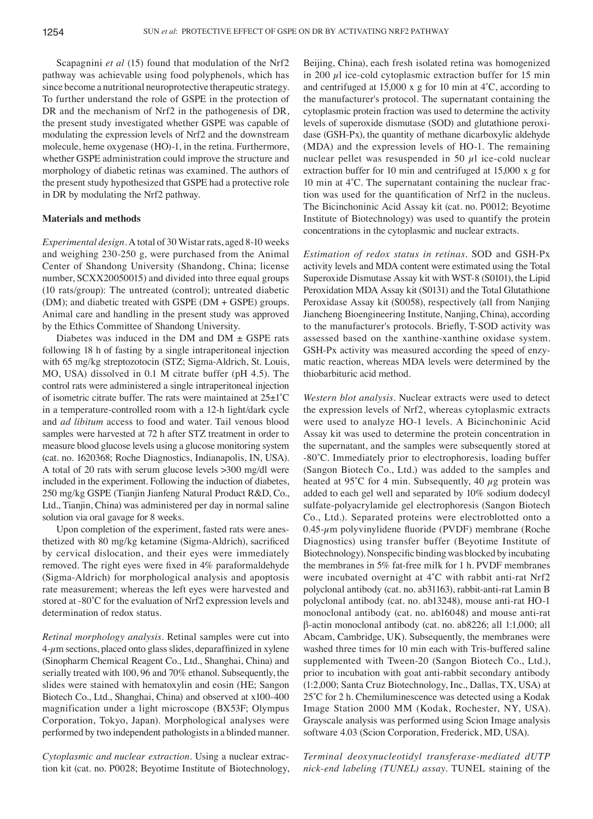Scapagnini *et al* (15) found that modulation of the Nrf2 pathway was achievable using food polyphenols, which has since become a nutritional neuroprotective therapeutic strategy. To further understand the role of GSPE in the protection of DR and the mechanism of Nrf2 in the pathogenesis of DR, the present study investigated whether GSPE was capable of modulating the expression levels of Nrf2 and the downstream molecule, heme oxygenase (HO)-1, in the retina. Furthermore, whether GSPE administration could improve the structure and morphology of diabetic retinas was examined. The authors of the present study hypothesized that GSPE had a protective role in DR by modulating the Nrf2 pathway.

# **Materials and methods**

*Experimental design.* A total of 30 Wistar rats, aged 8-10 weeks and weighing 230-250 g, were purchased from the Animal Center of Shandong University (Shandong, China; license number, SCXX20050015) and divided into three equal groups (10 rats/group): The untreated (control); untreated diabetic (DM); and diabetic treated with GSPE (DM + GSPE) groups. Animal care and handling in the present study was approved by the Ethics Committee of Shandong University.

Diabetes was induced in the DM and  $DM \pm GSPE$  rats following 18 h of fasting by a single intraperitoneal injection with 65 mg/kg streptozotocin (STZ; Sigma-Aldrich, St. Louis, MO, USA) dissolved in 0.1 M citrate buffer (pH 4.5). The control rats were administered a single intraperitoneal injection of isometric citrate buffer. The rats were maintained at 25±1˚C in a temperature-controlled room with a 12-h light/dark cycle and *ad libitum* access to food and water. Tail venous blood samples were harvested at 72 h after STZ treatment in order to measure blood glucose levels using a glucose monitoring system (cat. no. 1620368; Roche Diagnostics, Indianapolis, IN, USA). A total of 20 rats with serum glucose levels >300 mg/dl were included in the experiment. Following the induction of diabetes, 250 mg/kg GSPE (Tianjin Jianfeng Natural Product R&D, Co., Ltd., Tianjin, China) was administered per day in normal saline solution via oral gavage for 8 weeks.

Upon completion of the experiment, fasted rats were anesthetized with 80 mg/kg ketamine (Sigma‑Aldrich), sacrificed by cervical dislocation, and their eyes were immediately removed. The right eyes were fixed in 4% paraformaldehyde (Sigma-Aldrich) for morphological analysis and apoptosis rate measurement; whereas the left eyes were harvested and stored at ‑80˚C for the evaluation of Nrf2 expression levels and determination of redox status.

*Retinal morphology analysis.* Retinal samples were cut into  $4-\mu$ m sections, placed onto glass slides, deparaffinized in xylene (Sinopharm Chemical Reagent Co., Ltd., Shanghai, China) and serially treated with 100, 96 and 70% ethanol. Subsequently, the slides were stained with hematoxylin and eosin (HE; Sangon Biotech Co., Ltd., Shanghai, China) and observed at x100-400 magnification under a light microscope (BX53F; Olympus Corporation, Tokyo, Japan). Morphological analyses were performed by two independent pathologists in a blinded manner.

*Cytoplasmic and nuclear extraction.* Using a nuclear extraction kit (cat. no. P0028; Beyotime Institute of Biotechnology, Beijing, China), each fresh isolated retina was homogenized in 200  $\mu$ l ice-cold cytoplasmic extraction buffer for 15 min and centrifuged at 15,000 x g for 10 min at 4˚C, according to the manufacturer's protocol. The supernatant containing the cytoplasmic protein fraction was used to determine the activity levels of superoxide dismutase (SOD) and glutathione peroxidase (GSH-Px), the quantity of methane dicarboxylic aldehyde (MDA) and the expression levels of HO-1. The remaining nuclear pellet was resuspended in 50  $\mu$ l ice-cold nuclear extraction buffer for 10 min and centrifuged at 15,000 x g for 10 min at 4˚C. The supernatant containing the nuclear fraction was used for the quantification of Nrf2 in the nucleus. The Bicinchoninic Acid Assay kit (cat. no. P0012; Beyotime Institute of Biotechnology) was used to quantify the protein concentrations in the cytoplasmic and nuclear extracts.

*Estimation of redox status in retinas.* SOD and GSH-Px activity levels and MDA content were estimated using the Total Superoxide Dismutase Assay kit with WST-8 (S0101), the Lipid Peroxidation MDA Assay kit (S0131) and the Total Glutathione Peroxidase Assay kit (S0058), respectively (all from Nanjing Jiancheng Bioengineering Institute, Nanjing, China), according to the manufacturer's protocols. Briefly, T‑SOD activity was assessed based on the xanthine-xanthine oxidase system. GSH-Px activity was measured according the speed of enzymatic reaction, whereas MDA levels were determined by the thiobarbituric acid method.

*Western blot analysis.* Nuclear extracts were used to detect the expression levels of Nrf2, whereas cytoplasmic extracts were used to analyze HO-1 levels. A Bicinchoninic Acid Assay kit was used to determine the protein concentration in the supernatant, and the samples were subsequently stored at ‑80˚C. Immediately prior to electrophoresis, loading buffer (Sangon Biotech Co., Ltd.) was added to the samples and heated at 95°C for 4 min. Subsequently, 40  $\mu$ g protein was added to each gel well and separated by 10% sodium dodecyl sulfate-polyacrylamide gel electrophoresis (Sangon Biotech Co., Ltd.). Separated proteins were electroblotted onto a  $0.45$ - $\mu$ m polyvinylidene fluoride (PVDF) membrane (Roche Diagnostics) using transfer buffer (Beyotime Institute of Biotechnology). Nonspecific binding was blocked by incubating the membranes in 5% fat-free milk for 1 h. PVDF membranes were incubated overnight at 4°C with rabbit anti-rat Nrf2 polyclonal antibody (cat. no. ab31163), rabbit-anti-rat Lamin B polyclonal antibody (cat. no. ab13248), mouse anti-rat HO-1 monoclonal antibody (cat. no. ab16048) and mouse anti-rat β-actin monoclonal antibody (cat. no. ab8226; all 1:1,000; all Abcam, Cambridge, UK). Subsequently, the membranes were washed three times for 10 min each with Tris-buffered saline supplemented with Tween-20 (Sangon Biotech Co., Ltd.), prior to incubation with goat anti-rabbit secondary antibody (1:2,000; Santa Cruz Biotechnology, Inc., Dallas, TX, USA) at 25˚C for 2 h. Chemiluminescence was detected using a Kodak Image Station 2000 MM (Kodak, Rochester, NY, USA). Grayscale analysis was performed using Scion Image analysis software 4.03 (Scion Corporation, Frederick, MD, USA).

*Terminal deoxynucleotidyl transferase‑mediated dUTP nick‑end labeling (TUNEL) assay.* TUNEL staining of the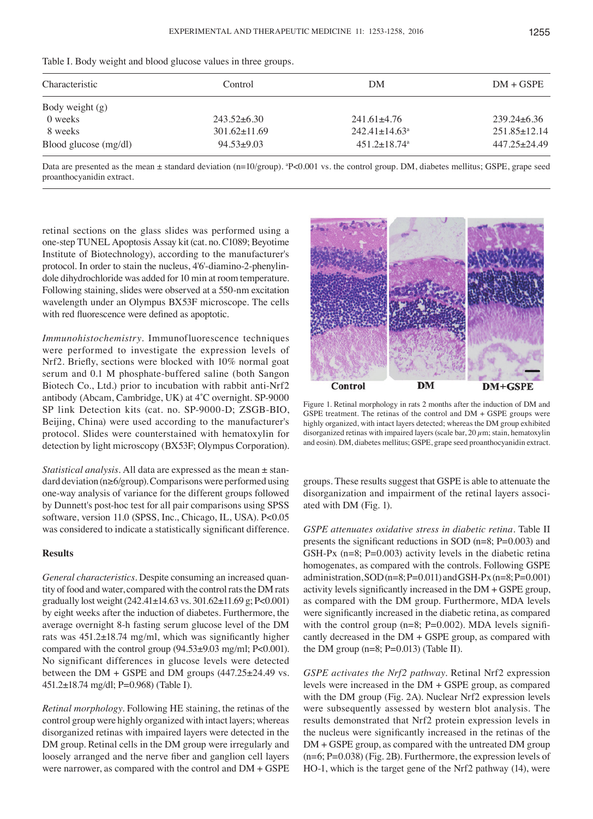|  |  |  |  |  |  |  | Table I. Body weight and blood glucose values in three groups. |  |  |  |  |  |  |  |  |  |  |  |
|--|--|--|--|--|--|--|----------------------------------------------------------------|--|--|--|--|--|--|--|--|--|--|--|
|--|--|--|--|--|--|--|----------------------------------------------------------------|--|--|--|--|--|--|--|--|--|--|--|

| Control            | DM                              | $DM + GSPE$        |  |
|--------------------|---------------------------------|--------------------|--|
|                    |                                 |                    |  |
| $243.52\pm 6.30$   | $241.61 \pm 4.76$               | $239.24\pm 6.36$   |  |
| $301.62 \pm 11.69$ | $242.41 \pm 14.63$ <sup>a</sup> | $251.85 \pm 12.14$ |  |
| $94.53 \pm 9.03$   | $451.2 \pm 18.74$ <sup>a</sup>  | $447.25 \pm 24.49$ |  |
|                    |                                 |                    |  |

Data are presented as the mean ± standard deviation (n=10/group). <sup>a</sup>P<0.001 vs. the control group. DM, diabetes mellitus; GSPE, grape seed proanthocyanidin extract.

retinal sections on the glass slides was performed using a one-step TUNEL Apoptosis Assay kit (cat. no. C1089; Beyotime Institute of Biotechnology), according to the manufacturer's protocol. In order to stain the nucleus, 4'6'-diamino-2-phenylindole dihydrochloride was added for 10 min at room temperature. Following staining, slides were observed at a 550-nm excitation wavelength under an Olympus BX53F microscope. The cells with red fluorescence were defined as apoptotic.

*Immunohistochemistry.* Immunofluorescence techniques were performed to investigate the expression levels of Nrf2. Briefly, sections were blocked with 10% normal goat serum and 0.1 M phosphate-buffered saline (both Sangon Biotech Co., Ltd.) prior to incubation with rabbit anti-Nrf2 antibody (Abcam, Cambridge, UK) at 4˚C overnight. SP‑9000 SP link Detection kits (cat. no. SP-9000-D; ZSGB-BIO, Beijing, China) were used according to the manufacturer's protocol. Slides were counterstained with hematoxylin for detection by light microscopy (BX53F; Olympus Corporation).

*Statistical analysis.* All data are expressed as the mean ± standard deviation (n≥6/group). Comparisons were performed using one-way analysis of variance for the different groups followed by Dunnett's post-hoc test for all pair comparisons using SPSS software, version 11.0 (SPSS, Inc., Chicago, IL, USA). P<0.05 was considered to indicate a statistically significant difference.

# **Results**

*General characteristics.* Despite consuming an increased quantity of food and water, compared with the control rats the DM rats gradually lost weight (242.41±14.63 vs. 301.62±11.69 g; P<0.001) by eight weeks after the induction of diabetes. Furthermore, the average overnight 8-h fasting serum glucose level of the DM rats was 451.2±18.74 mg/ml, which was significantly higher compared with the control group (94.53±9.03 mg/ml; P<0.001). No significant differences in glucose levels were detected between the  $DM + GSPE$  and DM groups  $(447.25 \pm 24.49 \text{ vs.})$ 451.2±18.74 mg/dl; P=0.968) (Table I).

*Retinal morphology.* Following HE staining, the retinas of the control group were highly organized with intact layers; whereas disorganized retinas with impaired layers were detected in the DM group. Retinal cells in the DM group were irregularly and loosely arranged and the nerve fiber and ganglion cell layers were narrower, as compared with the control and DM + GSPE



Figure 1. Retinal morphology in rats 2 months after the induction of DM and GSPE treatment. The retinas of the control and DM + GSPE groups were highly organized, with intact layers detected; whereas the DM group exhibited disorganized retinas with impaired layers (scale bar,  $20 \mu$ m; stain, hematoxylin and eosin). DM, diabetes mellitus; GSPE, grape seed proanthocyanidin extract.

groups. These results suggest that GSPE is able to attenuate the disorganization and impairment of the retinal layers associated with DM (Fig. 1).

*GSPE attenuates oxidative stress in diabetic retina.* Table II presents the significant reductions in SOD (n=8; P=0.003) and GSH-Px (n=8; P=0.003) activity levels in the diabetic retina homogenates, as compared with the controls. Following GSPE administration,  $SOD$  (n=8; P=0.011) and GSH-Px (n=8; P=0.001) activity levels significantly increased in the DM + GSPE group, as compared with the DM group. Furthermore, MDA levels were significantly increased in the diabetic retina, as compared with the control group  $(n=8; P=0.002)$ . MDA levels significantly decreased in the DM + GSPE group, as compared with the DM group  $(n=8; P=0.013)$  (Table II).

*GSPE activates the Nrf2 pathway.* Retinal Nrf2 expression levels were increased in the DM + GSPE group, as compared with the DM group (Fig. 2A). Nuclear Nrf2 expression levels were subsequently assessed by western blot analysis. The results demonstrated that Nrf2 protein expression levels in the nucleus were significantly increased in the retinas of the DM + GSPE group, as compared with the untreated DM group (n=6; P=0.038) (Fig. 2B). Furthermore, the expression levels of HO-1, which is the target gene of the Nrf2 pathway (14), were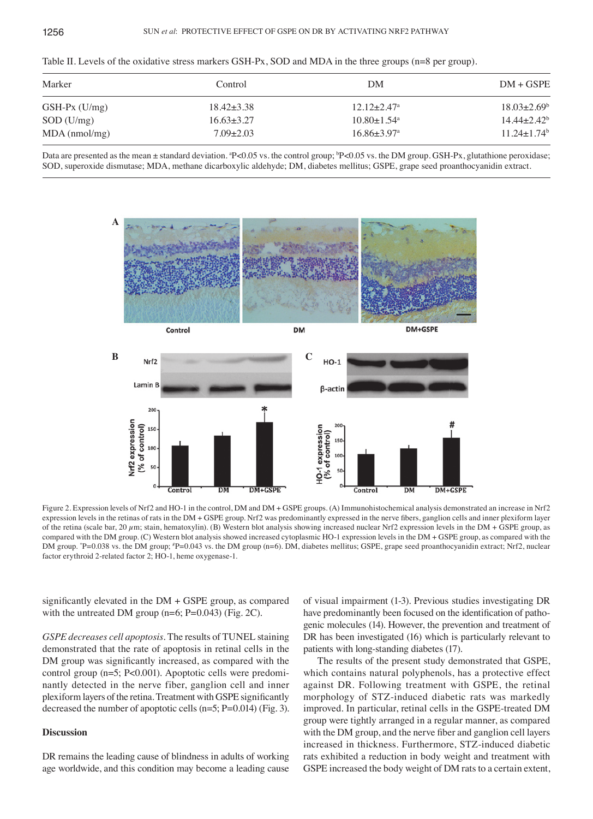| Table II. Levels of the oxidative stress markers GSH-Px, SOD and MDA in the three groups $(n=8$ per group). |  |  |  |  |
|-------------------------------------------------------------------------------------------------------------|--|--|--|--|
|-------------------------------------------------------------------------------------------------------------|--|--|--|--|

| Marker          | Control          | DM                            | $DM + GSPE$                 |
|-----------------|------------------|-------------------------------|-----------------------------|
| $GSH-Px$ (U/mg) | $18.42 \pm 3.38$ | $12.12 + 2.47$ <sup>a</sup>   | $18.03 \pm 2.69^{\circ}$    |
| $SOD$ (U/mg)    | $16.63\pm3.27$   | $10.80 \pm 1.54$ <sup>a</sup> | $14.44 + 2.42$ <sup>b</sup> |
| $MDA$ (nmol/mg) | $7.09 \pm 2.03$  | $16.86 \pm 3.97$ <sup>a</sup> | $11.24 + 1.74$ <sup>b</sup> |

Data are presented as the mean ± standard deviation. \*P<0.05 vs. the control group; \*P<0.05 vs. the DM group. GSH-Px, glutathione peroxidase; SOD, superoxide dismutase; MDA, methane dicarboxylic aldehyde; DM, diabetes mellitus; GSPE, grape seed proanthocyanidin extract.





Figure 2. Expression levels of Nrf2 and HO-1 in the control, DM and DM + GSPE groups. (A) Immunohistochemical analysis demonstrated an increase in Nrf2 expression levels in the retinas of rats in the DM + GSPE group. Nrf2 was predominantly expressed in the nerve fibers, ganglion cells and inner plexiform layer of the retina (scale bar, 20  $\mu$ m; stain, hematoxylin). (B) Western blot analysis showing increased nuclear Nrf2 expression levels in the DM + GSPE group, as compared with the DM group. (C) Western blot analysis showed increased cytoplasmic HO-1 expression levels in the DM + GSPE group, as compared with the DM group. \*P=0.038 vs. the DM group; \*P=0.043 vs. the DM group (n=6). DM, diabetes mellitus; GSPE, grape seed proanthocyanidin extract; Nrf2, nuclear factor erythroid 2-related factor 2; HO-1, heme oxygenase-1.

significantly elevated in the DM + GSPE group, as compared with the untreated DM group  $(n=6; P=0.043)$  (Fig. 2C).

*GSPE decreases cell apoptosis.* The results of TUNEL staining demonstrated that the rate of apoptosis in retinal cells in the DM group was significantly increased, as compared with the control group (n=5; P<0.001). Apoptotic cells were predominantly detected in the nerve fiber, ganglion cell and inner plexiform layers of the retina. Treatment with GSPE significantly decreased the number of apoptotic cells  $(n=5; P=0.014)$  (Fig. 3).

### **Discussion**

DR remains the leading cause of blindness in adults of working age worldwide, and this condition may become a leading cause

of visual impairment (1-3). Previous studies investigating DR have predominantly been focused on the identification of pathogenic molecules (14). However, the prevention and treatment of DR has been investigated (16) which is particularly relevant to patients with long-standing diabetes (17).

The results of the present study demonstrated that GSPE, which contains natural polyphenols, has a protective effect against DR. Following treatment with GSPE, the retinal morphology of STZ-induced diabetic rats was markedly improved. In particular, retinal cells in the GSPE-treated DM group were tightly arranged in a regular manner, as compared with the DM group, and the nerve fiber and ganglion cell layers increased in thickness. Furthermore, STZ-induced diabetic rats exhibited a reduction in body weight and treatment with GSPE increased the body weight of DM rats to a certain extent,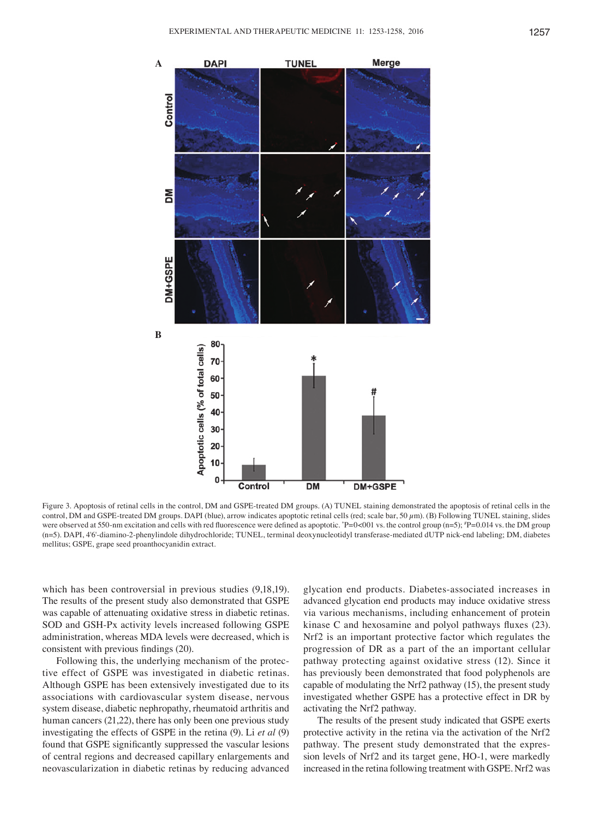

Figure 3. Apoptosis of retinal cells in the control, DM and GSPE-treated DM groups. (A) TUNEL staining demonstrated the apoptosis of retinal cells in the control, DM and GSPE-treated DM groups. DAPI (blue), arrow indicates apoptotic retinal cells (red; scale bar, 50  $\mu$ m). (B) Following TUNEL staining, slides were observed at 550-nm excitation and cells with red fluorescence were defined as apoptotic. \*P=0<001 vs. the control group (n=5); \*P=0.014 vs. the DM group (n=5). DAPI, 4'6'-diamino-2-phenylindole dihydrochloride; TUNEL, terminal deoxynucleotidyl transferase-mediated dUTP nick-end labeling; DM, diabetes mellitus; GSPE, grape seed proanthocyanidin extract.

which has been controversial in previous studies (9,18,19). The results of the present study also demonstrated that GSPE was capable of attenuating oxidative stress in diabetic retinas. SOD and GSH-Px activity levels increased following GSPE administration, whereas MDA levels were decreased, which is consistent with previous findings (20).

Following this, the underlying mechanism of the protective effect of GSPE was investigated in diabetic retinas. Although GSPE has been extensively investigated due to its associations with cardiovascular system disease, nervous system disease, diabetic nephropathy, rheumatoid arthritis and human cancers (21,22), there has only been one previous study investigating the effects of GSPE in the retina (9). Li *et al* (9) found that GSPE significantly suppressed the vascular lesions of central regions and decreased capillary enlargements and neovascularization in diabetic retinas by reducing advanced

glycation end products. Diabetes-associated increases in advanced glycation end products may induce oxidative stress via various mechanisms, including enhancement of protein kinase C and hexosamine and polyol pathways fluxes (23). Nrf2 is an important protective factor which regulates the progression of DR as a part of the an important cellular pathway protecting against oxidative stress (12). Since it has previously been demonstrated that food polyphenols are capable of modulating the Nrf2 pathway (15), the present study investigated whether GSPE has a protective effect in DR by activating the Nrf2 pathway.

The results of the present study indicated that GSPE exerts protective activity in the retina via the activation of the Nrf2 pathway. The present study demonstrated that the expression levels of Nrf2 and its target gene, HO-1, were markedly increased in the retina following treatment with GSPE. Nrf2 was